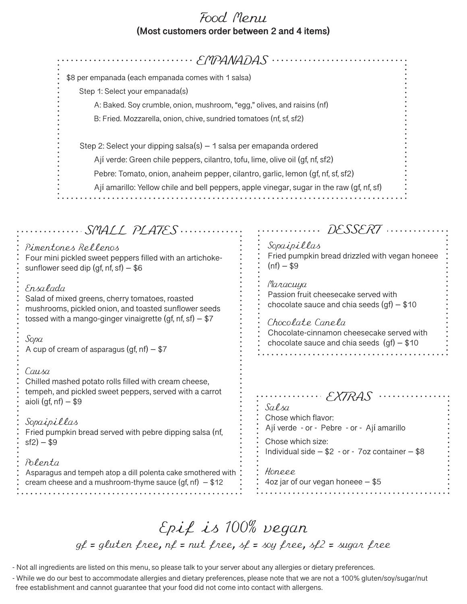## Food Menu **(Most customers order between 2 and 4 items)**

| \$8 per empanada (each empanada comes with 1 salsa)                                                                                                                                                                                                                                                                                                                                        |                                                                                                                                                                                                                                                                                                 |
|--------------------------------------------------------------------------------------------------------------------------------------------------------------------------------------------------------------------------------------------------------------------------------------------------------------------------------------------------------------------------------------------|-------------------------------------------------------------------------------------------------------------------------------------------------------------------------------------------------------------------------------------------------------------------------------------------------|
| Step 1: Select your empanada(s)                                                                                                                                                                                                                                                                                                                                                            |                                                                                                                                                                                                                                                                                                 |
| A: Baked. Soy crumble, onion, mushroom, "egg," olives, and raisins (nf)                                                                                                                                                                                                                                                                                                                    |                                                                                                                                                                                                                                                                                                 |
| B: Fried. Mozzarella, onion, chive, sundried tomatoes (nf, sf, sf2)                                                                                                                                                                                                                                                                                                                        |                                                                                                                                                                                                                                                                                                 |
|                                                                                                                                                                                                                                                                                                                                                                                            |                                                                                                                                                                                                                                                                                                 |
| Step 2: Select your dipping salsa(s) - 1 salsa per emapanda ordered                                                                                                                                                                                                                                                                                                                        |                                                                                                                                                                                                                                                                                                 |
| Ají verde: Green chile peppers, cilantro, tofu, lime, olive oil (gf, nf, sf2)                                                                                                                                                                                                                                                                                                              |                                                                                                                                                                                                                                                                                                 |
| Pebre: Tomato, onion, anaheim pepper, cilantro, garlic, lemon (gf, nf, sf, sf2)                                                                                                                                                                                                                                                                                                            |                                                                                                                                                                                                                                                                                                 |
| Ají amarillo: Yellow chile and bell peppers, apple vinegar, sugar in the raw (gf, nf, sf)                                                                                                                                                                                                                                                                                                  |                                                                                                                                                                                                                                                                                                 |
|                                                                                                                                                                                                                                                                                                                                                                                            |                                                                                                                                                                                                                                                                                                 |
|                                                                                                                                                                                                                                                                                                                                                                                            |                                                                                                                                                                                                                                                                                                 |
| SMALL PLATES<br>Pimentones Rellenos<br>Four mini pickled sweet peppers filled with an artichoke-<br>sunflower seed dip (gf, nf, sf) $-$ \$6<br>Ensalada<br>Salad of mixed greens, cherry tomatoes, roasted<br>mushrooms, pickled onion, and toasted sunflower seeds<br>tossed with a mango-ginger vinaigrette (gf, nf, sf) $-$ \$7<br>Sopa<br>A cup of cream of asparagus (gf, nf) $-$ \$7 | Sopaipillas<br>Fried pumpkin bread drizzled with vegan honeee<br>$(nf) - $9$<br>Maracuya<br>Passion fruit cheesecake served with<br>chocolate sauce and chia seeds $(gf) - $10$<br>Chocolate Canela<br>Chocolate-cinnamon cheesecake served with<br>chocolate sauce and chia seeds $(gf) - $10$ |
| Causa<br>Chilled mashed potato rolls filled with cream cheese,<br>tempeh, and pickled sweet peppers, served with a carrot<br>aioli (gf, nf) $-$ \$9<br>Sopaipillas<br>Fried pumpkin bread served with pebre dipping salsa (nf,<br>$sf2) - $9$                                                                                                                                              | EXTRAS<br>Salsa<br>Chose which flavor:<br>Ají verde - or - Pebre - or - Ají amarillo<br>Chose which size:<br>Individual side $- $2 - or - 7$ oz container $- $8$                                                                                                                                |
| Polenta<br>Asparagus and tempeh atop a dill polenta cake smothered with<br>cream cheese and a mushroom-thyme sauce (gf, nf) $-$ \$12                                                                                                                                                                                                                                                       | Honeee<br>4oz jar of our vegan honeee - \$5                                                                                                                                                                                                                                                     |

## Epif is 100% vegan  $g_f$  = gluten free,  $nf$  = nut free,  $sf$  = soy free,  $sf$ 2 = sugar free

- Not all ingredients are listed on this menu, so please talk to your server about any allergies or dietary preferences.

- While we do our best to accommodate allergies and dietary preferences, please note that we are not a 100% gluten/soy/sugar/nut free establishment and cannot guarantee that your food did not come into contact with allergens.